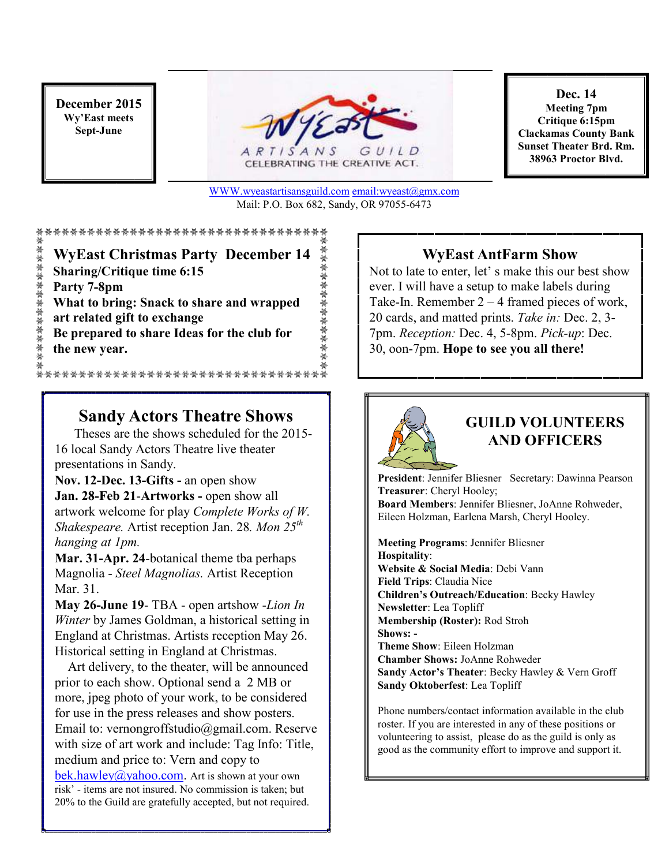#### **December 2015 Wy'East meets Sept-June**



CELEBRATING THE CREATIVE ACT.

**Dec. 14 Meeting 7pm Critique 6:15pm Clackamas County Bank Sunset Theater Brd. Rm. 38963 Proctor Blvd.**

WWW.wyeastartisansguild.com email:wyeast@gmx.com Mail: P.O. Box 682, Sandy, OR 97055-6473

兼無無無無無無無

紫紫紫紫紫紫紫紫紫紫紫 **WyEast Christmas Party December 14 Sharing/Critique time 6:15 Party 7-8pm What to bring: Snack to share and wrapped art related gift to exchange Be prepared to share Ideas for the club for the new year.** \*\*\*\*\*\*\*\*\*\*\*\*\*\*\*\*\*\*\*\*\*\*\*\*\*\*\*\*

## **Sandy Actors Theatre Shows**

 Theses are the shows scheduled for the 2015- 16 local Sandy Actors Theatre live theater presentations in Sandy.

**Nov. 12-Dec. 13-Gifts -** an open show Jan. 28-Feb 21-Artworks - open show all artwork welcome for play *Complete Works of W. Shakespeare.* Artist reception Jan. 28*. Mon 25th hanging at 1pm.* 

**Mar. 31-Apr. 24**-botanical theme tba perhaps Magnolia - *Steel Magnolias.* Artist Reception Mar. 31.

**May 26-June 19**- TBA - open artshow -*Lion In Winter* by James Goldman, a historical setting in England at Christmas. Artists reception May 26. Historical setting in England at Christmas.

 Art delivery, to the theater, will be announced prior to each show. Optional send a 2 MB or more, jpeg photo of your work, to be considered for use in the press releases and show posters. Email to: vernongroffstudio@gmail.com. Reserve with size of art work and include: Tag Info: Title, medium and price to: Vern and copy to bek.hawley@yahoo.com. Art is shown at your own risk' - items are not insured. No commission is taken; but 20% to the Guild are gratefully accepted, but not required.

#### **WyEast AntFarm Show**

Not to late to enter, let' s make this our best show ever. I will have a setup to make labels during Take-In. Remember 2 – 4 framed pieces of work, 20 cards, and matted prints. *Take in:* Dec. 2, 3- 7pm. *Reception:* Dec. 4, 5-8pm. *Pick-up*: Dec. 30, oon-7pm. **Hope to see you all there!**



## **GUILD VOLUNTEERS AND OFFICERS**

**President**: Jennifer Bliesner Secretary: Dawinna Pearson **Treasurer**: Cheryl Hooley; **Board Members**: Jennifer Bliesner, JoAnne Rohweder, Eileen Holzman, Earlena Marsh, Cheryl Hooley.

**Meeting Programs**: Jennifer Bliesner **Hospitality**: **Website & Social Media**: Debi Vann **Field Trips**: Claudia Nice **Children's Outreach/Education**: Becky Hawley **Newsletter**: Lea Topliff **Membership (Roster):** Rod Stroh **Shows: - Theme Show**: Eileen Holzman **Chamber Shows:** JoAnne Rohweder **Sandy Actor's Theater**: Becky Hawley & Vern Groff **Sandy Oktoberfest**: Lea Topliff

Phone numbers/contact information available in the club roster. If you are interested in any of these positions or volunteering to assist, please do as the guild is only as good as the community effort to improve and support it.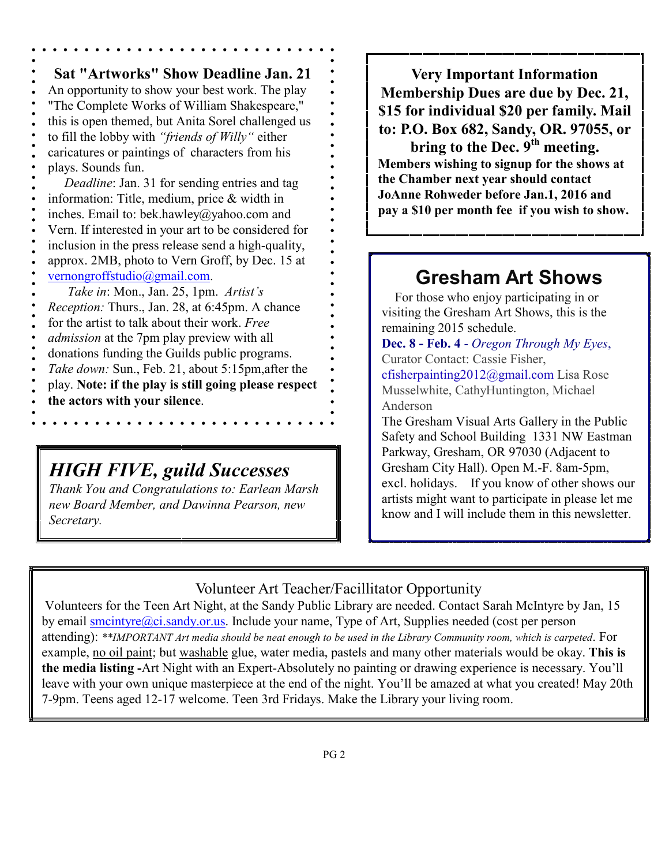**Sat "Artworks" Show Deadline Jan. 21**  An opportunity to show your best work. The play "The Complete Works of William Shakespeare," this is open themed, but Anita Sorel challenged us to fill the lobby with *"friends of Willy"* either caricatures or paintings of characters from his plays. Sounds fun.  *Deadline*: Jan. 31 for sending entries and tag information: Title, medium, price & width in inches. Email to: bek.hawley@yahoo.com and Vern. If interested in your art to be considered for inclusion in the press release send a high-quality, approx. 2MB, photo to Vern Groff, by Dec. 15 at vernongroffstudio@gmail.com.  *Take in*: Mon., Jan. 25, 1pm. *Artist's Reception:* Thurs., Jan. 28, at 6:45pm. A chance for the artist to talk about their work. *Free admission* at the 7pm play preview with all donations funding the Guilds public programs. *Take down:* Sun., Feb. 21, about 5:15pm,after the play. **Note: if the play is still going please respect the actors with your silence**.

## *HIGH FIVE, guild Successes*

*Thank You and Congratulations to: Earlean Marsh new Board Member, and Dawinna Pearson, new Secretary.* 

**Very Important Information Membership Dues are due by Dec. 21, \$15 for individual \$20 per family. Mail to: P.O. Box 682, Sandy, OR. 97055, or bring to the Dec. 9th meeting.** 

**Members wishing to signup for the shows at the Chamber next year should contact JoAnne Rohweder before Jan.1, 2016 and pay a \$10 per month fee if you wish to show.**

# **Gresham Art Shows**

 For those who enjoy participating in or visiting the Gresham Art Shows, this is the remaining 2015 schedule.

**Dec. 8 - Feb. 4** - *Oregon Through My Eyes*, Curator Contact: Cassie Fisher, cfisherpainting2012@gmail.com Lisa Rose Musselwhite, CathyHuntington, Michael Anderson

The Gresham Visual Arts Gallery in the Public Safety and School Building 1331 NW Eastman Parkway, Gresham, OR 97030 (Adjacent to Gresham City Hall). Open M.-F. 8am-5pm, excl. holidays. If you know of other shows our artists might want to participate in please let me know and I will include them in this newsletter.

Volunteer Art Teacher/Facillitator Opportunity

Volunteers for the Teen Art Night, at the Sandy Public Library are needed. Contact Sarah McIntyre by Jan, 15 by email smcintyre@ci.sandy.or.us. Include your name, Type of Art, Supplies needed (cost per person attending): *\*\*IMPORTANT Art media should be neat enough to be used in the Library Community room, which is carpeted*. For example, no oil paint; but washable glue, water media, pastels and many other materials would be okay. **This is the media listing -**Art Night with an Expert-Absolutely no painting or drawing experience is necessary. You'll leave with your own unique masterpiece at the end of the night. You'll be amazed at what you created! May 20th 7-9pm. Teens aged 12-17 welcome. Teen 3rd Fridays. Make the Library your living room.